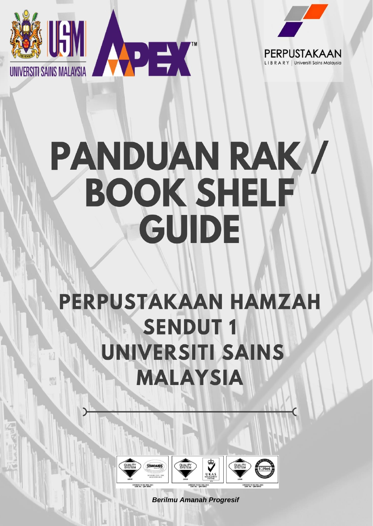



PERPUSTAKAAN

Universiti Sains Malaysia

# **PERPUSTAKAAN HAMZAH SENDUT1 UNIVERSITI SAINS MALAYSIA**



 *Berilmu Amanah Progresif*

**QUALITY**<br>SYSTEM

**STANDARDS**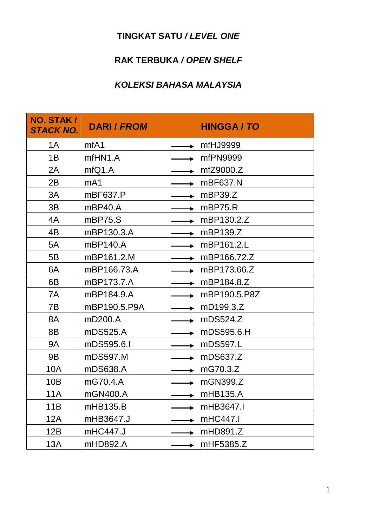# **TINGKAT SATU** */ LEVEL ONE*

## **RAK TERBUKA** */ OPEN SHELF*

#### *KOLEKSI BAHASA MALAYSIA*

| NO. STAK /<br><b>STACK NO.</b> | <b>DARI / FROM</b> | <b>HINGGA / TO</b> |
|--------------------------------|--------------------|--------------------|
| 1A                             | mfA1               | mfHJ9999           |
| 1B                             | mfHN1.A            | mfPN9999           |
| 2A                             | mfQ1.A             | mfZ9000.Z          |
| 2B                             | mA1                | mBF637.N           |
| 3A                             | mBF637.P           | mBP39.Z            |
| 3B                             | mBP40.A            | mBP75.R            |
| 4A                             | mBP75.S            | mBP130.2.Z         |
| 4B                             | mBP130.3.A         | mBP139.Z           |
| 5A                             | mBP140.A           | mBP161.2.L         |
| 5B                             | mBP161.2.M         | mBP166.72.Z        |
| 6A                             | mBP166.73.A        | mBP173.66.Z        |
| 6B                             | mBP173.7.A         | mBP184.8.Z         |
| 7A                             | mBP184.9.A         | mBP190.5.P8Z       |
| 7B                             | mBP190.5.P9A       | mD199.3.Z          |
| 8A                             | mD200.A            | mDS524.Z           |
| 8B                             | mDS525.A           | mDS595.6.H         |
| <b>9A</b>                      | mDS595.6.I         | mDS597.L           |
| <b>9B</b>                      | mDS597.M           | mDS637.Z           |
| 10A                            | mDS638.A           | mG70.3.Z           |
| 10B                            | mG70.4.A           | mGN399.Z           |
| 11A                            | mGN400.A           | mHB135.A           |
| 11B                            | mHB135.B           | mHB3647.I          |
| 12A                            | mHB3647.J          | mHC447.I           |
| 12B                            | mHC447.J           | mHD891.Z           |
| 13A                            | mHD892.A           | mHF5385.Z          |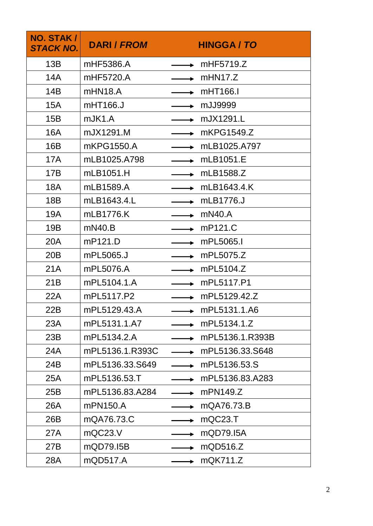| NO. STAK /<br><b>STACK NO.</b> | <b>DARI / FROM</b> | <b>HINGGA / TO</b> |
|--------------------------------|--------------------|--------------------|
| 13B                            | mHF5386.A          | mHF5719.Z          |
| 14A                            | mHF5720.A          | mH N17.Z           |
| 14B                            | mHN18.A            | mHT166.I           |
| <b>15A</b>                     | mHT166.J           | mJJ9999            |
| 15B                            | mJK1.A             | mJX1291.L          |
| 16A                            | mJX1291.M          | mKPG1549.Z         |
| 16B                            | mKPG1550.A         | mLB1025.A797       |
| 17A                            | mLB1025.A798       | mLB1051.E          |
| 17B                            | mLB1051.H          | mLB1588.Z          |
| 18A                            | mLB1589.A          | mLB1643.4.K        |
| 18 <sub>B</sub>                | mLB1643.4.L        | mLB1776.J          |
| 19A                            | mLB1776.K          | mN40.A             |
| 19B                            | mN40.B             | mP121.C            |
| 20A                            | mP121.D            | mPL5065.I          |
| 20B                            | mPL5065.J          | mPL5075.Z          |
| 21A                            | mPL5076.A          | mPL5104.Z          |
| 21B                            | mPL5104.1.A        | mPL5117.P1         |
| 22A                            | mPL5117.P2         | mPL5129.42.Z       |
| 22B                            | mPL5129.43.A       | mPL5131.1.A6       |
| 23A                            | mPL5131.1.A7       | mPL5134.1.Z        |
| 23B                            | mPL5134.2.A        | mPL5136.1.R393B    |
| 24A                            | mPL5136.1.R393C    | mPL5136.33.S648    |
| 24B                            | mPL5136.33.S649    | mPL5136.53.S       |
| 25A                            | mPL5136.53.T       | mPL5136.83.A283    |
| 25B                            | mPL5136.83.A284    | mPN149.Z           |
| 26A                            | mPN150.A           | mQA76.73.B         |
| 26B                            | mQA76.73.C         | mQC23.T            |
| 27A                            | mQC23.V            | mQD79.15A          |
| 27B                            | mQD79.15B          | mQD516.Z           |
| 28A                            | mQD517.A           | mQK711.Z           |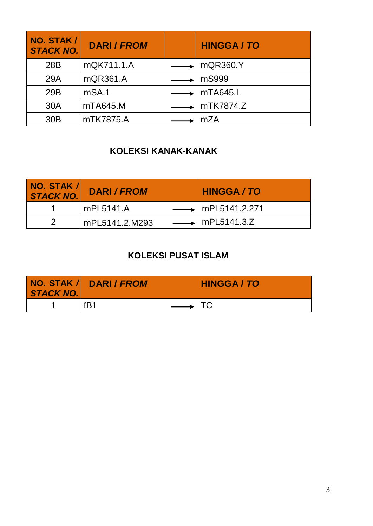| NO. STAK /<br><b>STACK NO.</b> | <b>DARI / FROM</b> | <b>HINGGA/TO</b>            |
|--------------------------------|--------------------|-----------------------------|
| 28B                            | mQK711.1.A         | $\longrightarrow$ mQR360.Y  |
| 29A                            | mQR361.A           | mS999                       |
| 29B                            | mSA.1              | $\rightarrow$ mTA645.L      |
| 30A                            | mTA645.M           | $\longrightarrow$ mTK7874.Z |
| 30 <sub>B</sub>                | mTK7875.A          | mZA                         |

## **KOLEKSI KANAK-KANAK**

| <b>NO. STAK /</b><br>STACK NO. | <b>DARI / FROM</b> | <b>HINGGA / TO</b>              |
|--------------------------------|--------------------|---------------------------------|
|                                | mPL5141.A          | $\longrightarrow$ mPL5141.2.271 |
|                                | mPL5141.2.M293     | $\longrightarrow$ mPL5141.3.Z   |

## **KOLEKSI PUSAT ISLAM**

| STACK NO. | NO. STAK / DARI / FROM | <b>HINGGA / TO</b>              |
|-----------|------------------------|---------------------------------|
|           | fB1                    | $\overbrace{\hspace{2.5cm}}^{}$ |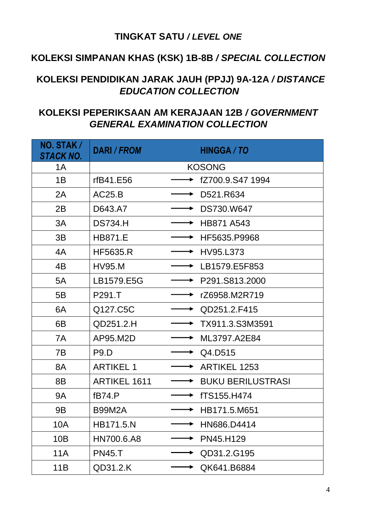#### **TINGKAT SATU** */ LEVEL ONE*

## **KOLEKSI SIMPANAN KHAS (KSK) 1B-8B** */ SPECIAL COLLECTION*

#### **KOLEKSI PENDIDIKAN JARAK JAUH (PPJJ) 9A-12A** */ DISTANCE EDUCATION COLLECTION*

#### **KOLEKSI PEPERIKSAAN AM KERAJAAN 12B** */ GOVERNMENT GENERAL EXAMINATION COLLECTION*

| NO. STAK /<br><b>STACK NO.</b> | <b>DARI / FROM</b>  | <b>HINGGA/TO</b>         |
|--------------------------------|---------------------|--------------------------|
| 1A                             |                     | <b>KOSONG</b>            |
| 1B                             | rfB41.E56           | fZ700.9.S47 1994         |
| 2A                             | AC25.B              | D521.R634                |
| 2B                             | D643.A7             | DS730.W647               |
| 3A                             | <b>DS734.H</b>      | HB871 A543               |
| 3B                             | <b>HB871.E</b>      | HF5635.P9968             |
| 4A                             | <b>HF5635.R</b>     | HV95.L373                |
| 4 <sub>B</sub>                 | <b>HV95.M</b>       | LB1579.E5F853            |
| 5A                             | LB1579.E5G          | P291.S813.2000           |
| 5B                             | P291.T              | rZ6958.M2R719            |
| 6A                             | Q127.C5C            | QD251.2.F415             |
| 6B                             | QD251.2.H           | TX911.3.S3M3591          |
| 7A                             | AP95.M2D            | ML3797.A2E84             |
| 7B                             | P <sub>9</sub> .D   | Q4.D515                  |
| 8A                             | <b>ARTIKEL 1</b>    | <b>ARTIKEL 1253</b>      |
| 8B                             | <b>ARTIKEL 1611</b> | <b>BUKU BERILUSTRASI</b> |
| <b>9A</b>                      | fB74.P              | fTS155.H474              |
| 9 <sub>B</sub>                 | <b>B99M2A</b>       | HB171.5.M651             |
| 10A                            | HB171.5.N           | HN686.D4414              |
| 10B                            | HN700.6.A8          | PN45.H129                |
| <b>11A</b>                     | <b>PN45.T</b>       | QD31.2.G195              |
| 11B                            | QD31.2.K            | QK641.B6884              |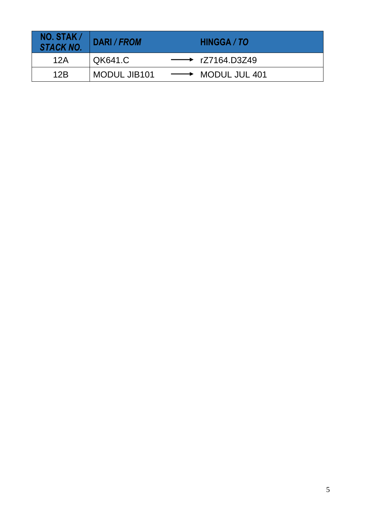| $NO.$ STAK $/$<br>STACK NO. | DARI / FROM  | HINGGA / TO                     |
|-----------------------------|--------------|---------------------------------|
| 12A                         | QK641.C      | $\longrightarrow$ rZ7164.D3Z49  |
| 12B                         | MODUL JIB101 | $\longrightarrow$ MODUL JUL 401 |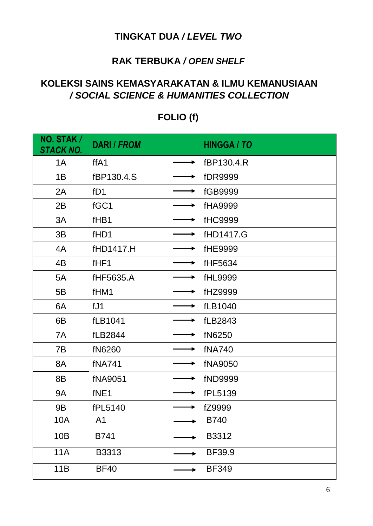#### **TINGKAT DUA** */ LEVEL TWO*

#### **RAK TERBUKA** */ OPEN SHELF*

#### **KOLEKSI SAINS KEMASYARAKATAN & ILMU KEMANUSIAAN** */ SOCIAL SCIENCE & HUMANITIES COLLECTION*

| NO. STAK/<br><b>STACK NO.</b> | <b>DARI / FROM</b> | <b>HINGGA / TO</b> |
|-------------------------------|--------------------|--------------------|
| 1A                            | ffA1               | fBP130.4.R         |
| 1B                            | fBP130.4.S         | <b>fDR9999</b>     |
| 2A                            | fD1                | fGB9999            |
| 2B                            | fGC1               | fHA9999            |
| 3A                            | fHB1               | <b>fHC9999</b>     |
| 3B                            | fHD1               | fHD1417.G          |
| 4A                            | fHD1417.H          | fHE9999            |
| 4B                            | fHF1               | fHF5634            |
| 5A                            | fHF5635.A          | fHL9999            |
| 5B                            | fHM1               | fHZ9999            |
| 6A                            | fJ1                | fLB1040            |
| 6B                            | fLB1041            | <b>fLB2843</b>     |
| 7A                            | fLB2844            | fN6250             |
| 7B                            | fN6260             | <b>fNA740</b>      |
| 8A                            | <b>fNA741</b>      | <b>fNA9050</b>     |
| 8B                            | <b>fNA9051</b>     | fND9999            |
| 9A                            | fNE1               | fPL5139            |
| <b>9B</b>                     | fPL5140            | fZ9999             |
| 10A                           | A <sub>1</sub>     | <b>B740</b>        |
| 10B                           | B741               | B3312              |
| <b>11A</b>                    | B3313              | BF39.9             |
| 11B                           | <b>BF40</b>        | <b>BF349</b>       |

# **FOLIO (f)**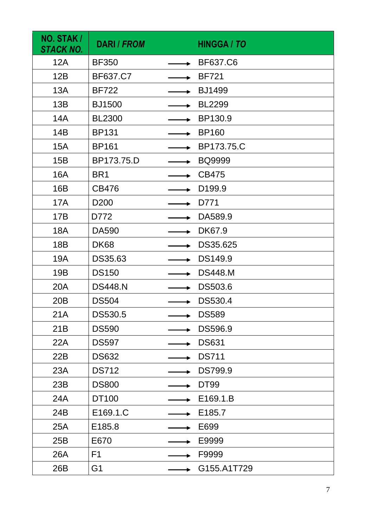| NO. STAK /<br>STACK NO. | <b>DARI / FROM</b> | <b>HINGGA / TO</b> |
|-------------------------|--------------------|--------------------|
| 12A                     | <b>BF350</b>       | <b>BF637.C6</b>    |
| 12B                     | BF637.C7           | <b>BF721</b>       |
| 13A                     | <b>BF722</b>       | <b>BJ1499</b>      |
| 13B                     | <b>BJ1500</b>      | <b>BL2299</b>      |
| <b>14A</b>              | <b>BL2300</b>      | BP130.9            |
| 14B                     | <b>BP131</b>       | <b>BP160</b>       |
| <b>15A</b>              | <b>BP161</b>       | BP173.75.C         |
| 15B                     | BP173.75.D         | <b>BQ9999</b>      |
| <b>16A</b>              | BR <sub>1</sub>    | <b>CB475</b>       |
| 16B                     | <b>CB476</b>       | D <sub>199.9</sub> |
| 17A                     | D <sub>200</sub>   | D771               |
| 17B                     | D772               | DA589.9            |
| <b>18A</b>              | <b>DA590</b>       | DK67.9             |
| 18 <sub>B</sub>         | <b>DK68</b>        | DS35.625           |
| 19A                     | DS35.63            | DS149.9            |
| 19B                     | <b>DS150</b>       | <b>DS448.M</b>     |
| <b>20A</b>              | <b>DS448.N</b>     | DS503.6            |
| 20 <sub>B</sub>         | <b>DS504</b>       | DS530.4            |
| 21A                     | DS530.5            | <b>DS589</b>       |
| 21B                     | <b>DS590</b>       | DS596.9            |
| 22A                     | <b>DS597</b>       | <b>DS631</b>       |
| 22B                     | <b>DS632</b>       | <b>DS711</b>       |
| 23A                     | <b>DS712</b>       | <b>DS799.9</b>     |
| 23B                     | <b>DS800</b>       | <b>DT99</b>        |
| 24A                     | DT100              | E169.1.B           |
| 24B                     | E169.1.C           | E185.7             |
| 25A                     | E185.8             | E699               |
| 25B                     | E670               | E9999              |
| 26A                     | F <sub>1</sub>     | F9999              |
| 26B                     | G <sub>1</sub>     | G155.A1T729        |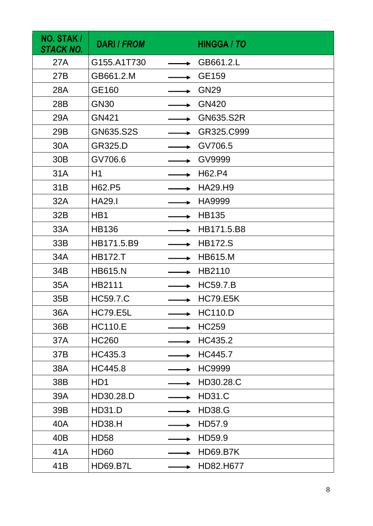| NO. STAK /<br>STACK NO. | <b>DARI / FROM</b> | <b>HINGGA / TO</b> |
|-------------------------|--------------------|--------------------|
| 27A                     | G155.A1T730        | GB661.2.L          |
| 27B                     | GB661.2.M          | GE159              |
| 28A                     | GE160              | <b>GN29</b>        |
| 28B                     | <b>GN30</b>        | <b>GN420</b>       |
| 29A                     | <b>GN421</b>       | <b>GN635.S2R</b>   |
| 29B                     | GN635.S2S          | GR325.C999         |
| 30A                     | <b>GR325.D</b>     | GV706.5            |
| 30 <sub>B</sub>         | GV706.6            | GV9999             |
| 31A                     | H1                 | H62.P4             |
| 31B                     | H62.P5             | <b>HA29.H9</b>     |
| 32A                     | <b>HA29.I</b>      | <b>HA9999</b>      |
| 32B                     | H <sub>B</sub> 1   | <b>HB135</b>       |
| 33A                     | <b>HB136</b>       | HB171.5.B8         |
| 33B                     | HB171.5.B9         | <b>HB172.S</b>     |
| 34A                     | <b>HB172.T</b>     | <b>HB615.M</b>     |
| 34B                     | <b>HB615.N</b>     | HB2110             |
| 35A                     | HB2111             | <b>HC59.7.B</b>    |
| 35B                     | <b>HC59.7.C</b>    | <b>HC79.E5K</b>    |
| 36A                     | <b>HC79.E5L</b>    | <b>HC110.D</b>     |
| 36B                     | <b>HC110.E</b>     | <b>HC259</b>       |
| 37A                     | <b>HC260</b>       | HC435.2            |
| 37B                     | HC435.3            | HC445.7            |
| 38A                     | HC445.8            | <b>HC9999</b>      |
| 38B                     | HD <sub>1</sub>    | HD30.28.C          |
| 39A                     | HD30.28.D          | <b>HD31.C</b>      |
| 39B                     | <b>HD31.D</b>      | <b>HD38.G</b>      |
| 40A                     | <b>HD38.H</b>      | HD57.9             |
| 40B                     | <b>HD58</b>        | HD59.9             |
| 41A                     | <b>HD60</b>        | <b>HD69.B7K</b>    |
| 41B                     | <b>HD69.B7L</b>    | HD82.H677          |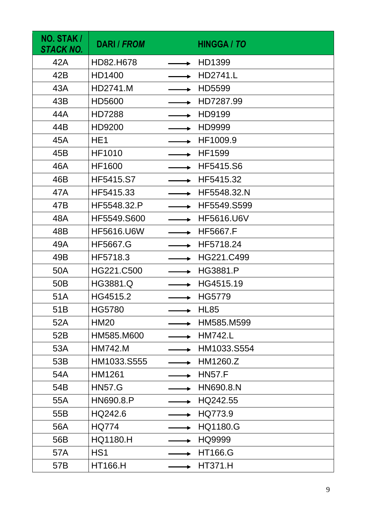| NO. STAK /<br>STACK NO. | <b>DARI / FROM</b> | <b>HINGGA / TO</b> |
|-------------------------|--------------------|--------------------|
| 42A                     | HD82.H678          | HD1399             |
| 42B                     | HD1400             | <b>HD2741.L</b>    |
| 43A                     | HD2741.M           | HD5599             |
| 43B                     | HD5600             | HD7287.99          |
| 44A                     | <b>HD7288</b>      | HD9199             |
| 44B                     | HD9200             | HD9999             |
| 45A                     | HE <sub>1</sub>    | HF1009.9           |
| 45B                     | <b>HF1010</b>      | <b>HF1599</b>      |
| 46A                     | <b>HF1600</b>      | HF5415.S6          |
| 46B                     | <b>HF5415.S7</b>   | HF5415.32          |
| 47A                     | HF5415.33          | HF5548.32.N        |
| 47B                     | HF5548.32.P        | HF5549.S599        |
| 48A                     | HF5549.S600        | <b>HF5616.U6V</b>  |
| 48B                     | <b>HF5616.U6W</b>  | <b>HF5667.F</b>    |
| 49A                     | <b>HF5667.G</b>    | HF5718.24          |
| 49B                     | HF5718.3           | HG221.C499         |
| 50A                     | HG221.C500         | <b>HG3881.P</b>    |
| 50 <sub>B</sub>         | <b>HG3881.Q</b>    | HG4515.19          |
| 51A                     | HG4515.2           | <b>HG5779</b>      |
| 51B                     | HG5780             | <b>HL85</b>        |
| 52A                     | <b>HM20</b>        | HM585.M599         |
| 52B                     | HM585.M600         | <b>HM742.L</b>     |
| 53A                     | <b>HM742.M</b>     | HM1033.S554        |
| 53B                     | HM1033.S555        | HM1260.Z           |
| 54A                     | HM1261             | <b>HN57.F</b>      |
| 54B                     | <b>HN57.G</b>      | HN690.8.N          |
| 55A                     | HN690.8.P          | HQ242.55           |
| 55B                     | HQ242.6            | HQ773.9            |
| 56A                     | <b>HQ774</b>       | <b>HQ1180.G</b>    |
| 56B                     | <b>HQ1180.H</b>    | HQ9999             |
| 57A                     | HS <sub>1</sub>    | <b>HT166.G</b>     |
| 57B                     | <b>HT166.H</b>     | <b>HT371.H</b>     |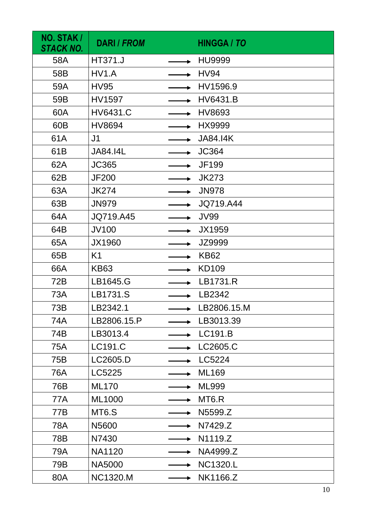| NO. STAK /<br>STACK NO. | <b>DARI / FROM</b> | <b>HINGGA / TO</b> |
|-------------------------|--------------------|--------------------|
| 58A                     | <b>HT371.J</b>     | <b>HU9999</b>      |
| 58B                     | HV1.A              | <b>HV94</b>        |
| 59A                     | <b>HV95</b>        | HV1596.9           |
| 59B                     | <b>HV1597</b>      | <b>HV6431.B</b>    |
| 60A                     | <b>HV6431.C</b>    | HV8693             |
| 60B                     | <b>HV8694</b>      | HX9999             |
| 61A                     | J <sub>1</sub>     | <b>JA84.I4K</b>    |
| 61B                     | <b>JA84.I4L</b>    | <b>JC364</b>       |
| 62A                     | <b>JC365</b>       | <b>JF199</b>       |
| 62B                     | <b>JF200</b>       | <b>JK273</b>       |
| 63A                     | <b>JK274</b>       | <b>JN978</b>       |
| 63B                     | <b>JN979</b>       | JQ719.A44          |
| 64A                     | JQ719.A45          | <b>JV99</b>        |
| 64B                     | <b>JV100</b>       | JX1959             |
| 65A                     | <b>JX1960</b>      | JZ9999             |
| 65B                     | K <sub>1</sub>     | <b>KB62</b>        |
| 66A                     | <b>KB63</b>        | <b>KD109</b>       |
| 72B                     | LB1645.G           | LB1731.R           |
| 73A                     | LB1731.S           | LB2342             |
| 73B                     | LB2342.1           | LB2806.15.M        |
| 74A                     | LB2806.15.P        | LB3013.39          |
| 74B                     | LB3013.4           | LC191.B            |
| 75A                     | LC191.C            | LC2605.C           |
| 75B                     | LC2605.D           | LC5224             |
| 76A                     | LC5225             | <b>ML169</b>       |
| 76B                     | <b>ML170</b>       | <b>ML999</b>       |
| 77A                     | <b>ML1000</b>      | MT <sub>6</sub> .R |
| 77B                     | MT <sub>6.</sub> S | N5599.Z            |
| 78A                     | N5600              | N7429.Z            |
| 78B                     | N7430              | N1119.Z            |
| 79A                     | <b>NA1120</b>      | NA4999.Z           |
| 79B                     | <b>NA5000</b>      | <b>NC1320.L</b>    |
| 80A                     | <b>NC1320.M</b>    | NK1166.Z           |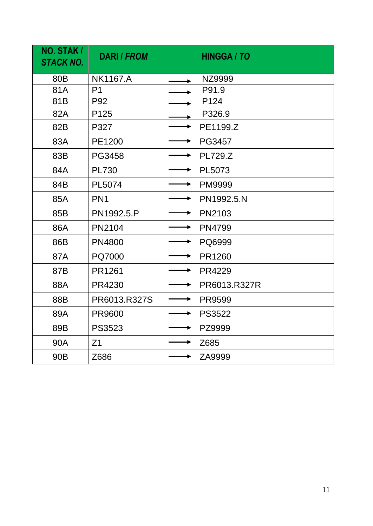| NO. STAK /<br><b>STACK NO.</b> | <b>DARI / FROM</b> |   | <b>HINGGA / TO</b> |
|--------------------------------|--------------------|---|--------------------|
| 80 <sub>B</sub>                | <b>NK1167.A</b>    |   | NZ9999             |
| 81A                            | P <sub>1</sub>     |   | P91.9              |
| 81B                            | P92                |   | P124               |
| 82A                            | P <sub>125</sub>   |   | P326.9             |
| 82B                            | P327               |   | PE1199.Z           |
| 83A                            | PE1200             |   | PG3457             |
| 83B                            | <b>PG3458</b>      |   | <b>PL729.Z</b>     |
| 84A                            | <b>PL730</b>       |   | PL5073             |
| 84B                            | PL5074             |   | <b>PM9999</b>      |
| 85A                            | PN <sub>1</sub>    |   | PN1992.5.N         |
| 85B                            | PN1992.5.P         |   | PN2103             |
| 86A                            | <b>PN2104</b>      | ▶ | <b>PN4799</b>      |
| 86B                            | <b>PN4800</b>      |   | PQ6999             |
| 87A                            | PQ7000             |   | PR1260             |
| 87B                            | PR1261             |   | <b>PR4229</b>      |
| 88A                            | PR4230             |   | PR6013.R327R       |
| 88B                            | PR6013.R327S       |   | <b>PR9599</b>      |
| 89A                            | <b>PR9600</b>      | → | <b>PS3522</b>      |
| 89B                            | <b>PS3523</b>      |   | PZ9999             |
| 90A                            | Z <sub>1</sub>     | ▶ | Z685               |
| 90 <sub>B</sub>                | Z686               |   | ZA9999             |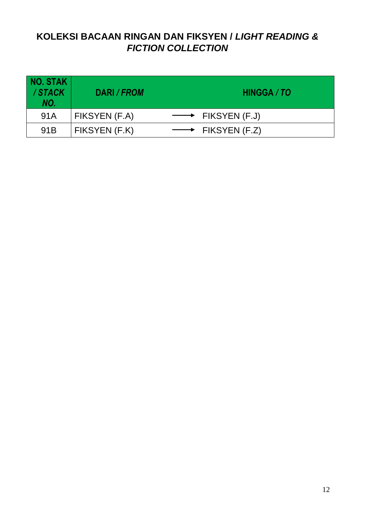# **KOLEKSI BACAAN RINGAN DAN FIKSYEN /** *LIGHT READING & FICTION COLLECTION*

| <b>NO. STAK</b><br>/STACK<br>NO. | DARI / FROM   | HINGGA / TO                     |
|----------------------------------|---------------|---------------------------------|
| 91A                              | FIKSYEN (F.A) | $\longrightarrow$ FIKSYEN (F.J) |
| 91 <sub>B</sub>                  | FIKSYEN (F.K) | FIKSYEN (F.Z)                   |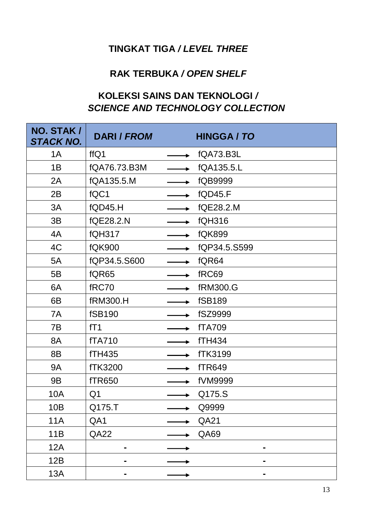# **TINGKAT TIGA** */ LEVEL THREE*

#### **RAK TERBUKA** */ OPEN SHELF*

# **KOLEKSI SAINS DAN TEKNOLOGI** */ SCIENCE AND TECHNOLOGY COLLECTION*

| NO. STAK /<br>STACK NO. | <b>DARI / FROM</b> | <b>HINGGA / TO</b> |
|-------------------------|--------------------|--------------------|
| 1A                      | ffQ1               | fQA73.B3L          |
| 1B                      | fQA76.73.B3M       | fQA135.5.L         |
| 2A                      | fQA135.5.M         | fQB9999            |
| 2B                      | fQC1               | <b>fQD45.F</b>     |
| 3A                      | fQD45.H            | fQE28.2.M          |
| 3B                      | fQE28.2.N          | <b>fQH316</b>      |
| 4A                      | <b>fQH317</b>      | <b>fQK899</b>      |
| 4C                      | <b>fQK900</b>      | fQP34.5.S599       |
| 5A                      | fQP34.5.S600       | fQR64              |
| 5B                      | fQR65              | fRC69              |
| 6A                      | fRC70              | <b>fRM300.G</b>    |
| 6B                      | <b>fRM300.H</b>    | <b>fSB189</b>      |
| 7A                      | <b>fSB190</b>      | fSZ9999            |
| 7B                      | fT1                | <b>fTA709</b>      |
| 8A                      | <b>fTA710</b>      | <b>fTH434</b>      |
| 8B                      | <b>fTH435</b>      | <b>fTK3199</b>     |
| <b>9A</b>               | <b>fTK3200</b>     | <b>fTR649</b>      |
| <b>9B</b>               | <b>fTR650</b>      | fVM9999            |
| 10A                     | Q <sub>1</sub>     | Q175.S             |
| 10B                     | Q175.T             | Q9999              |
| <b>11A</b>              | QA1                | QA21               |
| 11B                     | <b>QA22</b>        | QA69               |
| 12A                     |                    | -                  |
| 12B                     |                    |                    |
| <b>13A</b>              | -                  | ۰                  |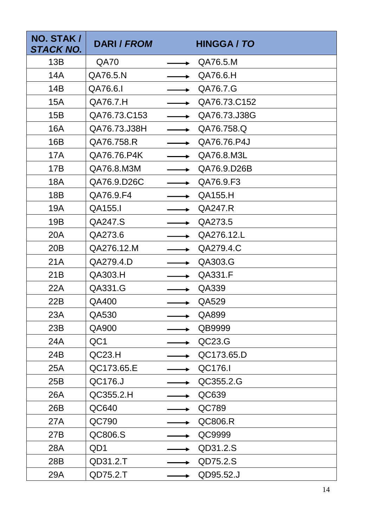| NO. STAK /<br>STACK NO. | <b>DARI / FROM</b> | <b>HINGGA / TO</b> |
|-------------------------|--------------------|--------------------|
| 13B                     | <b>QA70</b>        | QA76.5.M           |
| 14A                     | QA76.5.N           | QA76.6.H           |
| 14B                     | QA76.6.1           | QA76.7.G           |
| <b>15A</b>              | QA76.7.H           | QA76.73.C152       |
| 15B                     | QA76.73.C153       | QA76.73.J38G       |
| <b>16A</b>              | QA76.73.J38H       | QA76.758.Q         |
| 16B                     | QA76.758.R         | QA76.76.P4J        |
| <b>17A</b>              | QA76.76.P4K        | QA76.8.M3L         |
| 17B                     | QA76.8.M3M         | QA76.9.D26B        |
| <b>18A</b>              | QA76.9.D26C        | QA76.9.F3          |
| 18 <sub>B</sub>         | QA76.9.F4          | QA155.H            |
| 19A                     | QA155.I            | QA247.R            |
| 19B                     | QA247.S            | QA273.5            |
| 20A                     | QA273.6            | QA276.12.L         |
| 20B                     | QA276.12.M         | QA279.4.C          |
| 21A                     | QA279.4.D          | QA303.G            |
| 21B                     | QA303.H            | QA331.F            |
| 22A                     | QA331.G            | QA339              |
| 22B                     | QA400              | QA529              |
| 23A                     | QA530              | QA899              |
| 23B                     | QA900              | QB9999             |
| 24A                     | QC1                | QC23.G             |
| 24B                     | QC23.H             | QC173.65.D         |
| 25A                     | QC173.65.E         | QC176.I            |
| 25B                     | QC176.J            | QC355.2.G          |
| 26A                     | QC355.2.H          | QC639              |
| 26B                     | QC640              | QC789              |
| 27A                     | QC790              | QC806.R            |
| 27B                     | QC806.S            | QC9999             |
| 28A                     | QD1                | QD31.2.S           |
| 28B                     | QD31.2.T           | QD75.2.S           |
| 29A                     | QD75.2.T           | QD95.52.J          |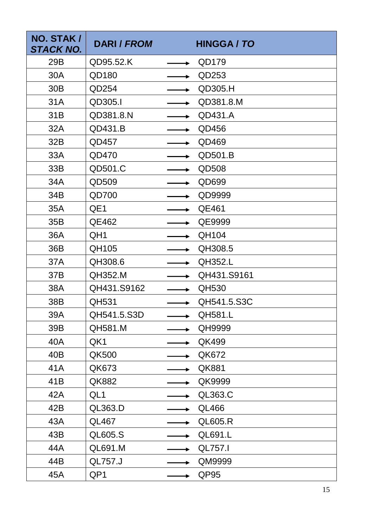| NO. STAK /<br>STACK NO. | <b>DARI / FROM</b> | <b>HINGGA / TO</b> |
|-------------------------|--------------------|--------------------|
| 29B                     | QD95.52.K          | QD179              |
| 30A                     | QD180              | QD253              |
| 30 <sub>B</sub>         | QD254              | QD305.H            |
| 31A                     | QD305.I            | QD381.8.M          |
| 31B                     | QD381.8.N          | QD431.A            |
| 32A                     | QD431.B            | QD456              |
| 32B                     | QD457              | QD469              |
| 33A                     | QD470              | QD501.B            |
| 33B                     | QD501.C            | QD508              |
| 34A                     | QD509              | QD699              |
| 34B                     | <b>QD700</b>       | QD9999             |
| 35A                     | QE1                | QE461              |
| 35B                     | QE462              | QE9999             |
| 36A                     | QH1                | QH104              |
| 36B                     | QH105              | QH308.5            |
| 37A                     | QH308.6            | <b>QH352.L</b>     |
| 37B                     | QH352.M            | QH431.S9161        |
| 38A                     | QH431.S9162        | QH530              |
| 38B                     | QH531              | QH541.5.S3C        |
| 39A                     | QH541.5.S3D        | <b>QH581.L</b>     |
| 39B                     | QH581.M            | QH9999             |
| 40A                     | QK1                | QK499              |
| 40B                     | QK500              | QK672              |
| 41A                     | QK673              | <b>QK881</b>       |
| 41B                     | QK882              | QK9999             |
| 42A                     | QL1                | <b>QL363.C</b>     |
| 42B                     | QL363.D            | <b>QL466</b>       |
| 43A                     | <b>QL467</b>       | <b>QL605.R</b>     |
| 43B                     | <b>QL605.S</b>     | QL691.L            |
| 44A                     | QL691.M            | <b>QL757.I</b>     |
| 44B                     | QL757.J            | QM9999             |
| 45A                     | QP1                | QP95               |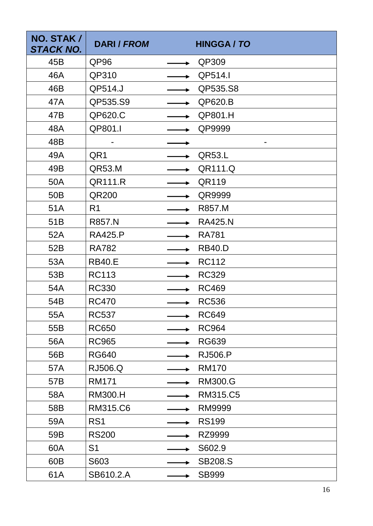| NO. STAK /<br>STACK NO. | <b>DARI / FROM</b> | <b>HINGGA / TO</b> |
|-------------------------|--------------------|--------------------|
| 45B                     | QP96               | QP309              |
| 46A                     | QP310              | QP514.I            |
| 46B                     | QP514.J            | QP535.S8           |
| 47A                     | QP535.S9           | QP620.B            |
| 47B                     | QP620.C            | QP801.H            |
| 48A                     | QP801.I            | QP9999             |
| 48B                     |                    |                    |
| 49A                     | QR1                | <b>QR53.L</b>      |
| 49B                     | QR53.M             | QR111.Q            |
| 50A                     | QR111.R            | QR119              |
| 50 <sub>B</sub>         | QR200              | QR9999             |
| 51A                     | R <sub>1</sub>     | R857.M             |
| 51B                     | <b>R857.N</b>      | <b>RA425.N</b>     |
| 52A                     | <b>RA425.P</b>     | <b>RA781</b>       |
| 52B                     | <b>RA782</b>       | <b>RB40.D</b>      |
| 53A                     | <b>RB40.E</b>      | <b>RC112</b>       |
| 53B                     | <b>RC113</b>       | <b>RC329</b>       |
| 54A                     | <b>RC330</b>       | <b>RC469</b>       |
| 54B                     | <b>RC470</b>       | <b>RC536</b>       |
| 55A                     | <b>RC537</b>       | <b>RC649</b>       |
| 55B                     | <b>RC650</b>       | <b>RC964</b>       |
| 56A                     | <b>RC965</b>       | <b>RG639</b>       |
| 56B                     | <b>RG640</b>       | <b>RJ506.P</b>     |
| 57A                     | <b>RJ506.Q</b>     | <b>RM170</b>       |
| 57B                     | <b>RM171</b>       | <b>RM300.G</b>     |
| 58A                     | <b>RM300.H</b>     | RM315.C5           |
| 58B                     | RM315.C6           | <b>RM9999</b>      |
| 59A                     | RS <sub>1</sub>    | <b>RS199</b>       |
| 59B                     | <b>RS200</b>       | RZ9999             |
| 60A                     | S <sub>1</sub>     | S602.9             |
| 60B                     | S603               | <b>SB208.S</b>     |
| 61A                     | SB610.2.A          | <b>SB999</b>       |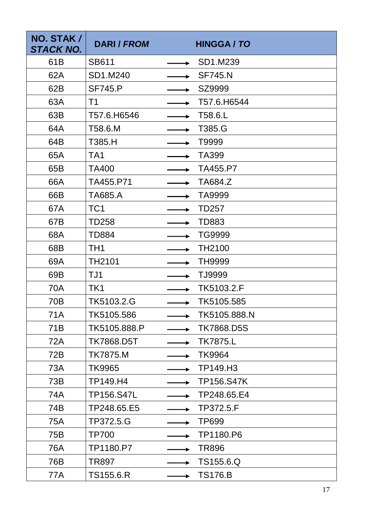| NO. STAK /<br><b>STACK NO.</b> | <b>DARI / FROM</b> | <b>HINGGA / TO</b> |
|--------------------------------|--------------------|--------------------|
| 61B                            | <b>SB611</b>       | SD1.M239           |
| 62A                            | SD1.M240           | <b>SF745.N</b>     |
| 62B                            | <b>SF745.P</b>     | SZ9999             |
| 63A                            | T <sub>1</sub>     | T57.6.H6544        |
| 63B                            | T57.6.H6546        | T58.6.L            |
| 64A                            | T58.6.M            | T385.G             |
| 64B                            | T385.H             | T9999              |
| 65A                            | TA <sub>1</sub>    | TA399              |
| 65B                            | TA400              | TA455.P7           |
| 66A                            | TA455.P71          | TA684.Z            |
| 66B                            | <b>TA685.A</b>     | TA9999             |
| 67A                            | TC <sub>1</sub>    | <b>TD257</b>       |
| 67B                            | <b>TD258</b>       | TD883              |
| 68A                            | <b>TD884</b>       | TG9999             |
| 68B                            | TH <sub>1</sub>    | TH2100             |
| 69A                            | <b>TH2101</b>      | <b>TH9999</b>      |
| 69B                            | TJ1                | TJ9999             |
| 70A                            | TK1                | TK5103.2.F         |
| 70 <sub>B</sub>                | TK5103.2.G         | TK5105.585         |
| <b>71A</b>                     | TK5105.586         | TK5105.888.N       |
| 71B                            | TK5105.888.P       | <b>TK7868.D5S</b>  |
| 72A                            | <b>TK7868.D5T</b>  | <b>TK7875.L</b>    |
| 72B                            | <b>TK7875.M</b>    | <b>TK9964</b>      |
| 73A                            | <b>TK9965</b>      | TP149.H3           |
| 73B                            | TP149.H4           | <b>TP156.S47K</b>  |
| 74A                            | <b>TP156.S47L</b>  | TP248.65.E4        |
| 74B                            | TP248.65.E5        | TP372.5.F          |
| 75A                            | TP372.5.G          | <b>TP699</b>       |
| 75B                            | <b>TP700</b>       | TP1180.P6          |
| 76A                            | TP1180.P7          | <b>TR896</b>       |
| 76B                            | <b>TR897</b>       | TS155.6.Q          |
| 77A                            | TS155.6.R          | <b>TS176.B</b>     |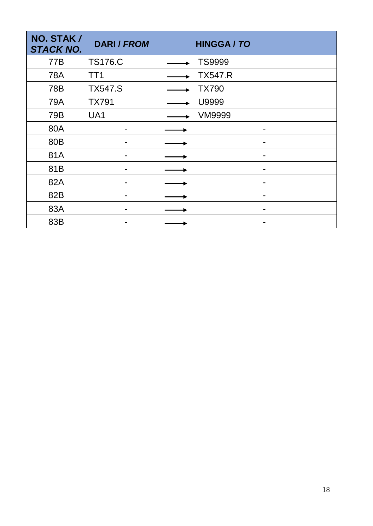| NO. STAK /<br><b>STACK NO.</b> | <b>DARI / FROM</b> | <b>HINGGA / TO</b> |
|--------------------------------|--------------------|--------------------|
| 77B                            | <b>TS176.C</b>     | <b>TS9999</b>      |
| <b>78A</b>                     | TT <sub>1</sub>    | <b>TX547.R</b>     |
| 78B                            | <b>TX547.S</b>     | <b>TX790</b>       |
| 79A                            | <b>TX791</b>       | U9999              |
| 79B                            | UA1                | <b>VM9999</b>      |
| 80A                            |                    |                    |
| 80B                            |                    |                    |
| 81A                            |                    |                    |
| 81B                            |                    |                    |
| 82A                            |                    |                    |
| 82B                            |                    |                    |
| 83A                            |                    |                    |
| 83B                            |                    |                    |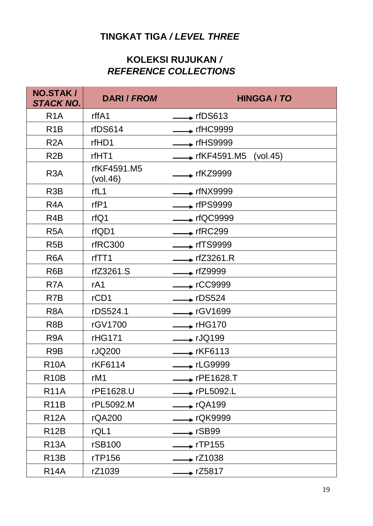# **TINGKAT TIGA** */ LEVEL THREE*

## **KOLEKSI RUJUKAN** */ REFERENCE COLLECTIONS*

| <b>NO.STAK/</b><br><b>STACK NO.</b> | <b>DARI / FROM</b>      | <b>HINGGA / TO</b>                    |
|-------------------------------------|-------------------------|---------------------------------------|
| R <sub>1</sub> A                    | rffA1                   | $\div$ rfDS613                        |
| R <sub>1</sub> B                    | rfDS614                 | $\div$ rfHC9999                       |
| R <sub>2</sub> A                    | rfHD1                   | $\rightarrow$ rfHS9999                |
| R <sub>2</sub> B                    | rfHT1                   | $\rightarrow$ rfKF4591.M5<br>(vol.45) |
| R <sub>3</sub> A                    | rfKF4591.M5<br>(vol.46) | $\longrightarrow$ rfKZ9999            |
| R <sub>3</sub> B                    | rfL1                    | $\overline{\phantom{1}}$ rfNX9999     |
| R <sub>4</sub> A                    | rfP1                    | $\div$ rfPS9999                       |
| R <sub>4</sub> B                    | rfQ1                    | $\rightarrow$ rfQC9999                |
| R <sub>5</sub> A                    | rfQD1                   | $\div$ rfRC299                        |
| R <sub>5</sub> B                    | rfRC300                 | $\rightarrow$ rfTS9999                |
| R <sub>6</sub> A                    | rfTT1                   | $\overline{\phantom{1}}$ rfZ3261.R    |
| R <sub>6</sub> B                    | rfZ3261.S               | $\div$ rfZ9999                        |
| R <sub>7</sub> A                    | rA1                     | $\star$ rCC9999                       |
| R7B                                 | rCD1                    | $\rightarrow$ rDS524                  |
| R <sub>8</sub> A                    | rDS524.1                | → rGV1699                             |
| R <sub>8</sub> B                    | rGV1700                 | $\rightarrow$ rHG170                  |
| R <sub>9</sub> A                    | <b>rHG171</b>           | $\rightarrow$ rJQ199                  |
| R <sub>9</sub> B                    | rJQ200                  | $\rightarrow$ rKF6113                 |
| <b>R10A</b>                         | rKF6114                 | $\rightarrow$ rLG9999                 |
| R <sub>10</sub> B                   | rM1                     | $\triangleright$ rPE1628.T            |
| <b>R11A</b>                         | rPE1628.U               | $\rightarrow$ rPL5092.L               |
| <b>R11B</b>                         | rPL5092.M               | $\overline{\phantom{0}}$ rQA199       |
| <b>R12A</b>                         | rQA200                  | ► rQK9999                             |
| <b>R12B</b>                         | rQL1                    | $\overline{\phantom{1}}$ rSB99        |
| <b>R13A</b>                         | rSB100                  | $\overline{\phantom{0}}$ rTP155       |
| <b>R13B</b>                         | rTP156                  | $\rightarrow$ rZ1038                  |
| <b>R14A</b>                         | rZ1039                  | $\div$ rZ5817                         |